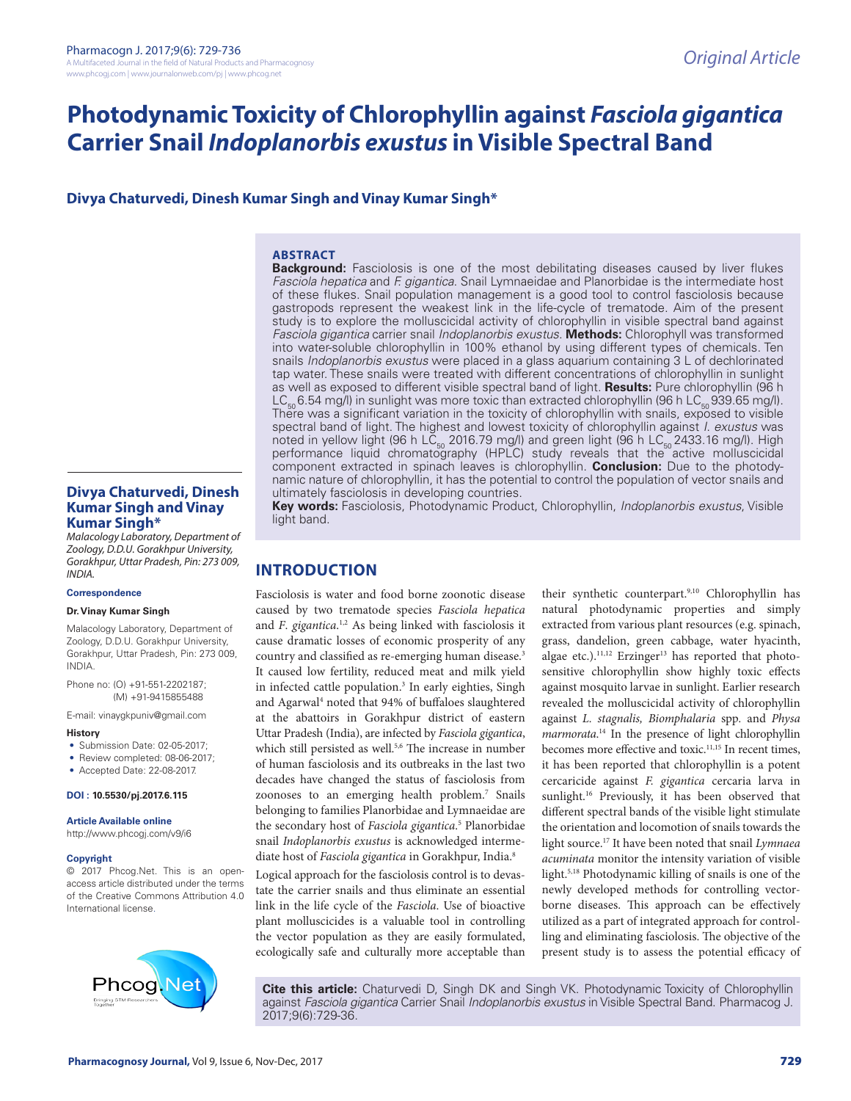# **Photodynamic Toxicity of Chlorophyllin against** *Fasciola gigantica* **Carrier Snail** *Indoplanorbis exustus* **in Visible Spectral Band**

**Divya Chaturvedi, Dinesh Kumar Singh and Vinay Kumar Singh\***

#### **ABSTRACT**

**Background:** Fasciolosis is one of the most debilitating diseases caused by liver flukes *Fasciola hepatica* and *F. gigantica*. Snail Lymnaeidae and Planorbidae is the intermediate host of these flukes. Snail population management is a good tool to control fasciolosis because gastropods represent the weakest link in the life-cycle of trematode. Aim of the present study is to explore the molluscicidal activity of chlorophyllin in visible spectral band against *Fasciola gigantica* carrier snail *Indoplanorbis exustus*. **Methods:** Chlorophyll was transformed into water-soluble chlorophyllin in 100% ethanol by using different types of chemicals. Ten snails *Indoplanorbis exustus* were placed in a glass aquarium containing 3 L of dechlorinated tap water. These snails were treated with different concentrations of chlorophyllin in sunlight as well as exposed to different visible spectral band of light. **Results:** Pure chlorophyllin (96 h  $LC_{50}$  6.54 mg/l) in sunlight was more toxic than extracted chlorophyllin (96 h LC<sub>50</sub> 939.65 mg/l). There was a significant variation in the toxicity of chlorophyllin with snails, exposed to visible spectral band of light. The highest and lowest toxicity of chlorophyllin against *I*. *exustus* was noted in yellow light (96 h LC<sub>50</sub> 2016.79 mg/l) and green light (96 h LC<sub>50</sub> 2433.16 mg/l). High performance liquid chromatography (HPLC) study reveals that the active molluscicidal component extracted in spinach leaves is chlorophyllin. **Conclusion:** Due to the photodynamic nature of chlorophyllin, it has the potential to control the population of vector snails and ultimately fasciolosis in developing countries.

**Key words:** Fasciolosis, Photodynamic Product, Chlorophyllin, *Indoplanorbis exustus*, Visible light band.

# **INTRODUCTION**

Fasciolosis is water and food borne zoonotic disease caused by two trematode species *Fasciola hepatica* and *F*. *gigantica*. 1,2 As being linked with fasciolosis it cause dramatic losses of economic prosperity of any country and classified as re-emerging human disease.3 It caused low fertility, reduced meat and milk yield in infected cattle population.<sup>3</sup> In early eighties, Singh and Agarwal<sup>4</sup> noted that 94% of buffaloes slaughtered at the abattoirs in Gorakhpur district of eastern Uttar Pradesh (India), are infected by *Fasciola gigantica*, which still persisted as well.<sup>5,6</sup> The increase in number of human fasciolosis and its outbreaks in the last two decades have changed the status of fasciolosis from zoonoses to an emerging health problem.7 Snails belonging to families Planorbidae and Lymnaeidae are the secondary host of *Fasciola gigantica*. 5 Planorbidae snail *Indoplanorbis exustus* is acknowledged intermediate host of *Fasciola gigantica* in Gorakhpur, India.8

Logical approach for the fasciolosis control is to devastate the carrier snails and thus eliminate an essential link in the life cycle of the *Fasciola*. Use of bioactive plant molluscicides is a valuable tool in controlling the vector population as they are easily formulated, ecologically safe and culturally more acceptable than their synthetic counterpart.<sup>9,10</sup> Chlorophyllin has natural photodynamic properties and simply extracted from various plant resources (e.g. spinach, grass, dandelion, green cabbage, water hyacinth, algae etc.). $11,12}$  Erzinger<sup>13</sup> has reported that photosensitive chlorophyllin show highly toxic effects against mosquito larvae in sunlight. Earlier research revealed the molluscicidal activity of chlorophyllin against *L. stagnalis, Biomphalaria* spp*.* and *Physa marmorata*. <sup>14</sup> In the presence of light chlorophyllin becomes more effective and toxic.<sup>11,15</sup> In recent times, it has been reported that chlorophyllin is a potent cercaricide against *F. gigantica* cercaria larva in sunlight.<sup>16</sup> Previously, it has been observed that different spectral bands of the visible light stimulate the orientation and locomotion of snails towards the light source.17 It have been noted that snail *Lymnaea acuminata* monitor the intensity variation of visible light.5,18 Photodynamic killing of snails is one of the newly developed methods for controlling vectorborne diseases. This approach can be effectively utilized as a part of integrated approach for controlling and eliminating fasciolosis. The objective of the present study is to assess the potential efficacy of

**Cite this article:** Chaturvedi D, Singh DK and Singh VK. Photodynamic Toxicity of Chlorophyllin against *Fasciola gigantica* Carrier Snail *Indoplanorbis exustus* in Visible Spectral Band. Pharmacog J. 2017;9(6):729-36.

**Divya Chaturvedi, Dinesh Kumar Singh and Vinay Kumar Singh\***

*Malacology Laboratory, Department of Zoology, D.D.U. Gorakhpur University, Gorakhpur, Uttar Pradesh, Pin: 273 009, INDIA.*

#### **Correspondence**

#### **Dr. Vinay Kumar Singh**

Malacology Laboratory, Department of Zoology, D.D.U. Gorakhpur University, Gorakhpur, Uttar Pradesh, Pin: 273 009, INDIA.

Phone no: (O) +91-551-2202187; (M) +91-9415855488

E-mail: vinaygkpuniv@gmail.com

#### **History**

- Submission Date: 02-05-2017:
- Review completed: 08-06-2017;
- Accepted Date: 22-08-2017.

## **DOI : 10.5530/pj.2017.6.115**

#### **Article Available online**

http://www.phcogj.com/v9/i6

#### **Copyright**

© 2017 Phcog.Net. This is an openaccess article distributed under the terms of the Creative Commons Attribution 4.0 International license.

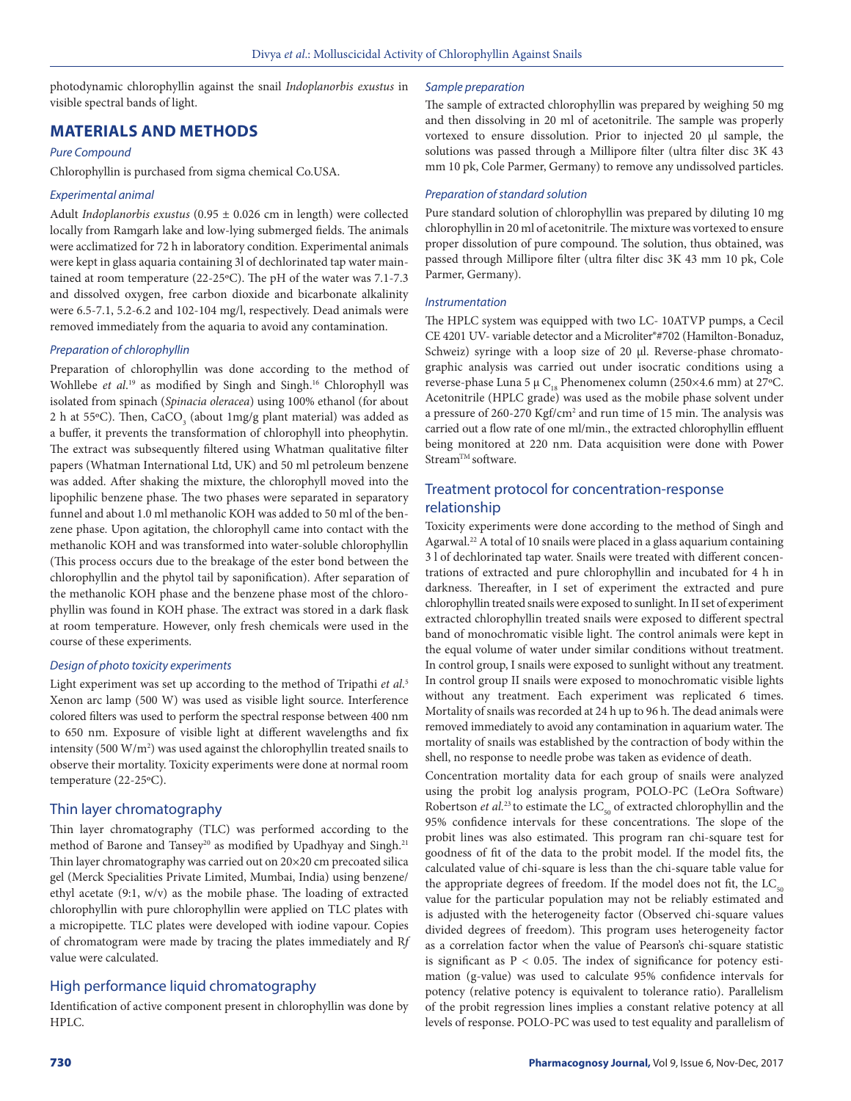photodynamic chlorophyllin against the snail *Indoplanorbis exustus* in visible spectral bands of light.

# **MATERIALS AND METHODS**

#### *Pure Compound*

Chlorophyllin is purchased from sigma chemical Co.USA.

#### *Experimental animal*

Adult *Indoplanorbis exustus* (0.95 ± 0.026 cm in length) were collected locally from Ramgarh lake and low-lying submerged fields. The animals were acclimatized for 72 h in laboratory condition. Experimental animals were kept in glass aquaria containing 3l of dechlorinated tap water maintained at room temperature (22-25ºC). The pH of the water was 7.1-7.3 and dissolved oxygen, free carbon dioxide and bicarbonate alkalinity were 6.5-7.1, 5.2-6.2 and 102-104 mg/l, respectively. Dead animals were removed immediately from the aquaria to avoid any contamination.

#### *Preparation of chlorophyllin*

Preparation of chlorophyllin was done according to the method of Wohllebe *et al*. 19 as modified by Singh and Singh.16 Chlorophyll was isolated from spinach (*Spinacia oleracea*) using 100% ethanol (for about 2 h at 55°C). Then,  $\text{CaCO}_3^{\text{}}$  (about 1mg/g plant material) was added as a buffer, it prevents the transformation of chlorophyll into pheophytin. The extract was subsequently filtered using Whatman qualitative filter papers (Whatman International Ltd, UK) and 50 ml petroleum benzene was added. After shaking the mixture, the chlorophyll moved into the lipophilic benzene phase. The two phases were separated in separatory funnel and about 1.0 ml methanolic KOH was added to 50 ml of the benzene phase. Upon agitation, the chlorophyll came into contact with the methanolic KOH and was transformed into water-soluble chlorophyllin (This process occurs due to the breakage of the ester bond between the chlorophyllin and the phytol tail by saponification). After separation of the methanolic KOH phase and the benzene phase most of the chlorophyllin was found in KOH phase. The extract was stored in a dark flask at room temperature. However, only fresh chemicals were used in the course of these experiments.

#### *Design of photo toxicity experiments*

Light experiment was set up according to the method of Tripathi *et al*. 5 Xenon arc lamp (500 W) was used as visible light source. Interference colored filters was used to perform the spectral response between 400 nm to 650 nm. Exposure of visible light at different wavelengths and fix intensity (500  $W/m<sup>2</sup>$ ) was used against the chlorophyllin treated snails to observe their mortality. Toxicity experiments were done at normal room temperature (22-25ºC).

# Thin layer chromatography

Thin layer chromatography (TLC) was performed according to the method of Barone and Tansey<sup>20</sup> as modified by Upadhyay and Singh.<sup>21</sup> Thin layer chromatography was carried out on 20×20 cm precoated silica gel (Merck Specialities Private Limited, Mumbai, India) using benzene/ ethyl acetate (9:1, w/v) as the mobile phase. The loading of extracted chlorophyllin with pure chlorophyllin were applied on TLC plates with a micropipette. TLC plates were developed with iodine vapour. Copies of chromatogram were made by tracing the plates immediately and R*f* value were calculated.

# High performance liquid chromatography

Identification of active component present in chlorophyllin was done by HPLC.

#### *Sample preparation*

The sample of extracted chlorophyllin was prepared by weighing 50 mg and then dissolving in 20 ml of acetonitrile. The sample was properly vortexed to ensure dissolution. Prior to injected 20 µl sample, the solutions was passed through a Millipore filter (ultra filter disc 3K 43 mm 10 pk, Cole Parmer, Germany) to remove any undissolved particles.

#### *Preparation of standard solution*

Pure standard solution of chlorophyllin was prepared by diluting 10 mg chlorophyllin in 20 ml of acetonitrile. The mixture was vortexed to ensure proper dissolution of pure compound. The solution, thus obtained, was passed through Millipore filter (ultra filter disc 3K 43 mm 10 pk, Cole Parmer, Germany).

#### *Instrumentation*

The HPLC system was equipped with two LC- 10ATVP pumps, a Cecil CE 4201 UV- variable detector and a Microliter®#702 (Hamilton-Bonaduz, Schweiz) syringe with a loop size of 20 µl. Reverse-phase chromatographic analysis was carried out under isocratic conditions using a reverse-phase Luna 5  $\mu$  C<sub>18</sub> Phenomenex column (250×4.6 mm) at 27°C. Acetonitrile (HPLC grade) was used as the mobile phase solvent under a pressure of 260-270 Kgf/cm<sup>2</sup> and run time of 15 min. The analysis was carried out a flow rate of one ml/min., the extracted chlorophyllin effluent being monitored at 220 nm. Data acquisition were done with Power Stream<sup>™</sup> software.

# Treatment protocol for concentration-response relationship

Toxicity experiments were done according to the method of Singh and Agarwal.<sup>22</sup> A total of 10 snails were placed in a glass aquarium containing 3 l of dechlorinated tap water. Snails were treated with different concentrations of extracted and pure chlorophyllin and incubated for 4 h in darkness. Thereafter, in I set of experiment the extracted and pure chlorophyllin treated snails were exposed to sunlight. In II set of experiment extracted chlorophyllin treated snails were exposed to different spectral band of monochromatic visible light. The control animals were kept in the equal volume of water under similar conditions without treatment. In control group, I snails were exposed to sunlight without any treatment. In control group II snails were exposed to monochromatic visible lights without any treatment. Each experiment was replicated 6 times. Mortality of snails was recorded at 24 h up to 96 h. The dead animals were removed immediately to avoid any contamination in aquarium water. The mortality of snails was established by the contraction of body within the shell, no response to needle probe was taken as evidence of death.

Concentration mortality data for each group of snails were analyzed using the probit log analysis program, POLO-PC (LeOra Software) Robertson *et al.*<sup>23</sup> to estimate the  $LC_{50}$  of extracted chlorophyllin and the 95% confidence intervals for these concentrations. The slope of the probit lines was also estimated. This program ran chi-square test for goodness of fit of the data to the probit model. If the model fits, the calculated value of chi-square is less than the chi-square table value for the appropriate degrees of freedom. If the model does not fit, the  $LC_{\text{eq}}$ value for the particular population may not be reliably estimated and is adjusted with the heterogeneity factor (Observed chi-square values divided degrees of freedom). This program uses heterogeneity factor as a correlation factor when the value of Pearson's chi-square statistic is significant as  $P < 0.05$ . The index of significance for potency estimation (g-value) was used to calculate 95% confidence intervals for potency (relative potency is equivalent to tolerance ratio). Parallelism of the probit regression lines implies a constant relative potency at all levels of response. POLO-PC was used to test equality and parallelism of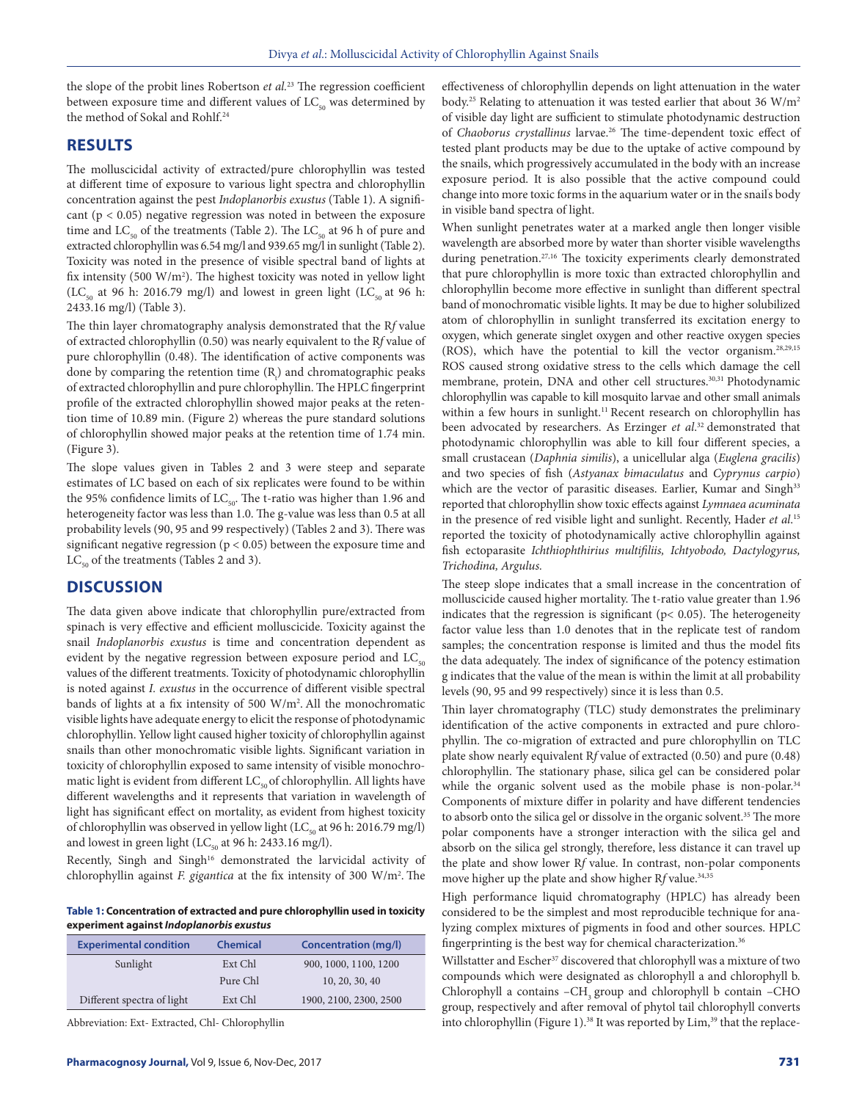the slope of the probit lines Robertson *et al.*23 The regression coefficient between exposure time and different values of  $LC_{50}$  was determined by the method of Sokal and Rohlf.<sup>24</sup>

# **RESULTS**

The molluscicidal activity of extracted/pure chlorophyllin was tested at different time of exposure to various light spectra and chlorophyllin concentration against the pest *Indoplanorbis exustus* (Table 1). A significant ( $p < 0.05$ ) negative regression was noted in between the exposure time and  $LC_{50}$  of the treatments (Table 2). The  $LC_{50}$  at 96 h of pure and extracted chlorophyllin was 6.54 mg/l and 939.65 mg/l in sunlight (Table 2). Toxicity was noted in the presence of visible spectral band of lights at fix intensity (500 W/m<sup>2</sup>). The highest toxicity was noted in yellow light (LC<sub>50</sub> at 96 h: 2016.79 mg/l) and lowest in green light (LC<sub>50</sub> at 96 h: 2433.16 mg/l) (Table 3).

The thin layer chromatography analysis demonstrated that the R*f* value of extracted chlorophyllin (0.50) was nearly equivalent to the R*f* value of pure chlorophyllin (0.48). The identification of active components was done by comparing the retention time  $(R<sub>t</sub>)$  and chromatographic peaks of extracted chlorophyllin and pure chlorophyllin. The HPLC fingerprint profile of the extracted chlorophyllin showed major peaks at the retention time of 10.89 min. (Figure 2) whereas the pure standard solutions of chlorophyllin showed major peaks at the retention time of 1.74 min. (Figure 3).

The slope values given in Tables 2 and 3 were steep and separate estimates of LC based on each of six replicates were found to be within the 95% confidence limits of  $LC_{50}$ . The t-ratio was higher than 1.96 and heterogeneity factor was less than 1.0. The g-value was less than 0.5 at all probability levels (90, 95 and 99 respectively) (Tables 2 and 3). There was significant negative regression ( $p < 0.05$ ) between the exposure time and  $LC_{50}$  of the treatments (Tables 2 and 3).

# **DISCUSSION**

The data given above indicate that chlorophyllin pure/extracted from spinach is very effective and efficient molluscicide. Toxicity against the snail *Indoplanorbis exustus* is time and concentration dependent as evident by the negative regression between exposure period and  $LC_{50}$ values of the different treatments. Toxicity of photodynamic chlorophyllin is noted against *I. exustus* in the occurrence of different visible spectral bands of lights at a fix intensity of 500 W/m<sup>2</sup>. All the monochromatic visible lights have adequate energy to elicit the response of photodynamic chlorophyllin. Yellow light caused higher toxicity of chlorophyllin against snails than other monochromatic visible lights. Significant variation in toxicity of chlorophyllin exposed to same intensity of visible monochromatic light is evident from different  $LC_{50}$  of chlorophyllin. All lights have different wavelengths and it represents that variation in wavelength of light has significant effect on mortality, as evident from highest toxicity of chlorophyllin was observed in yellow light (LC $_{50}$  at 96 h: 2016.79 mg/l) and lowest in green light (LC $_{50}$  at 96 h: 2433.16 mg/l).

Recently, Singh and Singh<sup>16</sup> demonstrated the larvicidal activity of chlorophyllin against *F. gigantica* at the fix intensity of 300 W/m2 . The

**Table 1: Concentration of extracted and pure chlorophyllin used in toxicity experiment against** *Indoplanorbis exustus*

| <b>Experimental condition</b> | <b>Chemical</b> | Concentration (mg/l)   |
|-------------------------------|-----------------|------------------------|
| Sunlight                      | Ext Chl         | 900, 1000, 1100, 1200  |
|                               | Pure Chl        | 10, 20, 30, 40         |
| Different spectra of light    | Ext Chl         | 1900, 2100, 2300, 2500 |

Abbreviation: Ext- Extracted, Chl- Chlorophyllin

effectiveness of chlorophyllin depends on light attenuation in the water body.<sup>25</sup> Relating to attenuation it was tested earlier that about 36 W/m<sup>2</sup> of visible day light are sufficient to stimulate photodynamic destruction of *Chaoborus crystallinus* larvae.<sup>26</sup> The time-dependent toxic effect of tested plant products may be due to the uptake of active compound by the snails, which progressively accumulated in the body with an increase exposure period. It is also possible that the active compound could change into more toxic forms in the aquarium water or in the snail' s body in visible band spectra of light.

When sunlight penetrates water at a marked angle then longer visible wavelength are absorbed more by water than shorter visible wavelengths during penetration.<sup>27,16</sup> The toxicity experiments clearly demonstrated that pure chlorophyllin is more toxic than extracted chlorophyllin and chlorophyllin become more effective in sunlight than different spectral band of monochromatic visible lights. It may be due to higher solubilized atom of chlorophyllin in sunlight transferred its excitation energy to oxygen, which generate singlet oxygen and other reactive oxygen species (ROS), which have the potential to kill the vector organism.28,29,15 ROS caused strong oxidative stress to the cells which damage the cell membrane, protein, DNA and other cell structures.<sup>30,31</sup> Photodynamic chlorophyllin was capable to kill mosquito larvae and other small animals within a few hours in sunlight.<sup>11</sup> Recent research on chlorophyllin has been advocated by researchers. As Erzinger *et al*. 32 demonstrated that photodynamic chlorophyllin was able to kill four different species, a small crustacean (*Daphnia similis*), a unicellular alga (*Euglena gracilis*) and two species of fish (*Astyanax bimaculatus* and *Cyprynus carpio*) which are the vector of parasitic diseases. Earlier, Kumar and Singh<sup>33</sup> reported that chlorophyllin show toxic effects against *Lymnaea acuminata* in the presence of red visible light and sunlight. Recently, Hader *et al*. 15 reported the toxicity of photodynamically active chlorophyllin against fish ectoparasite *Ichthiophthirius multifiliis, Ichtyobodo, Dactylogyrus, Trichodina, Argulus.* 

The steep slope indicates that a small increase in the concentration of molluscicide caused higher mortality. The t-ratio value greater than 1.96 indicates that the regression is significant ( $p$ < 0.05). The heterogeneity factor value less than 1.0 denotes that in the replicate test of random samples; the concentration response is limited and thus the model fits the data adequately. The index of significance of the potency estimation g indicates that the value of the mean is within the limit at all probability levels (90, 95 and 99 respectively) since it is less than 0.5.

Thin layer chromatography (TLC) study demonstrates the preliminary identification of the active components in extracted and pure chlorophyllin. The co-migration of extracted and pure chlorophyllin on TLC plate show nearly equivalent R*f* value of extracted (0.50) and pure (0.48) chlorophyllin. The stationary phase, silica gel can be considered polar while the organic solvent used as the mobile phase is non-polar.<sup>34</sup> Components of mixture differ in polarity and have different tendencies to absorb onto the silica gel or dissolve in the organic solvent.<sup>35</sup> The more polar components have a stronger interaction with the silica gel and absorb on the silica gel strongly, therefore, less distance it can travel up the plate and show lower R*f* value. In contrast, non-polar components move higher up the plate and show higher Rf value.<sup>34,35</sup>

High performance liquid chromatography (HPLC) has already been considered to be the simplest and most reproducible technique for analyzing complex mixtures of pigments in food and other sources. HPLC fingerprinting is the best way for chemical characterization.<sup>36</sup>

Willstatter and Escher<sup>37</sup> discovered that chlorophyll was a mixture of two compounds which were designated as chlorophyll a and chlorophyll b. Chlorophyll a contains -CH<sub>3</sub> group and chlorophyll b contain -CHO group, respectively and after removal of phytol tail chlorophyll converts into chlorophyllin (Figure 1).<sup>38</sup> It was reported by Lim,<sup>39</sup> that the replace-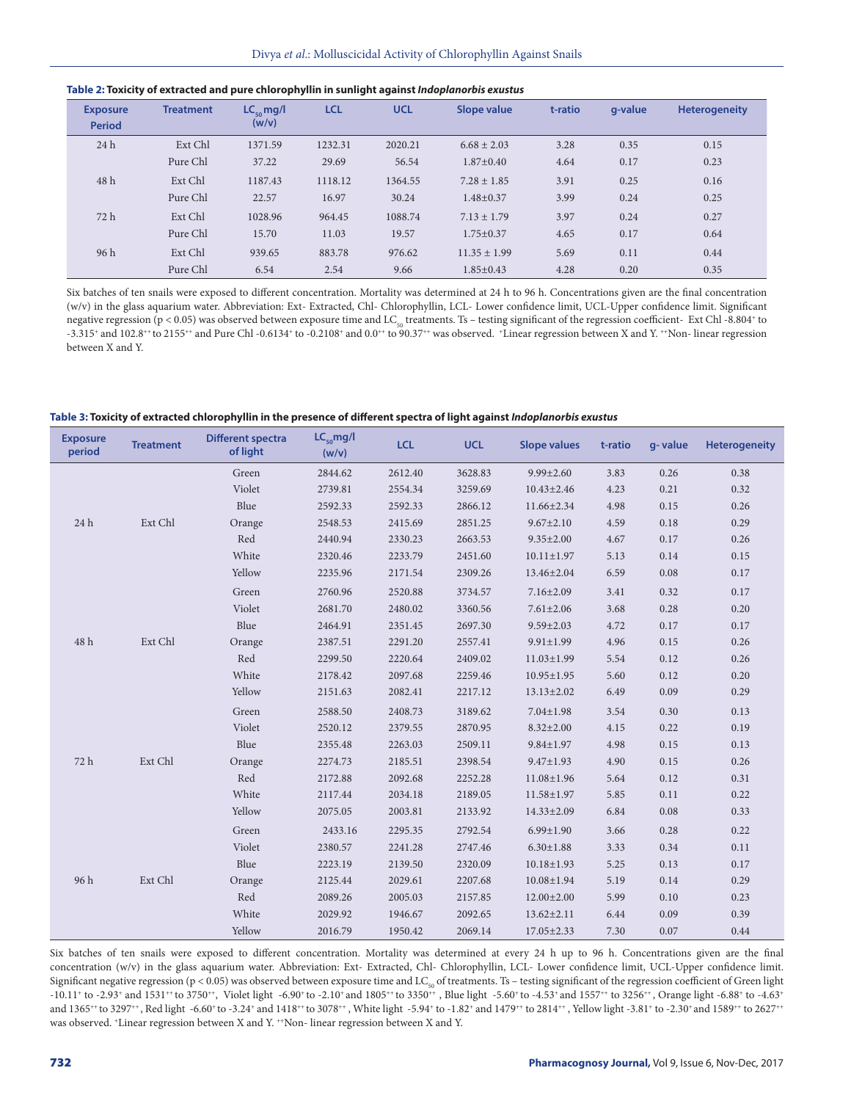| Table 2: Toxicity of extracted and pure chlorophyllin in sunlight against Indoplanorbis exustus |  |  |
|-------------------------------------------------------------------------------------------------|--|--|
|                                                                                                 |  |  |

| <b>Exposure</b><br><b>Period</b> | <b>Treatment</b> | $LC_{\rm co}$ mg/l<br>(w/v) | <b>LCL</b> | <b>UCL</b> | <b>Slope value</b> | t-ratio | a-value | <b>Heterogeneity</b> |
|----------------------------------|------------------|-----------------------------|------------|------------|--------------------|---------|---------|----------------------|
| 24h                              | Ext Chl          | 1371.59                     | 1232.31    | 2020.21    | $6.68 \pm 2.03$    | 3.28    | 0.35    | 0.15                 |
|                                  | Pure Chl         | 37.22                       | 29.69      | 56.54      | $1.87 \pm 0.40$    | 4.64    | 0.17    | 0.23                 |
| 48 h                             | Ext Chl          | 1187.43                     | 1118.12    | 1364.55    | $7.28 \pm 1.85$    | 3.91    | 0.25    | 0.16                 |
|                                  | Pure Chl         | 22.57                       | 16.97      | 30.24      | $1.48 \pm 0.37$    | 3.99    | 0.24    | 0.25                 |
| 72 h                             | Ext Chl          | 1028.96                     | 964.45     | 1088.74    | $7.13 \pm 1.79$    | 3.97    | 0.24    | 0.27                 |
|                                  | Pure Chl         | 15.70                       | 11.03      | 19.57      | $1.75 \pm 0.37$    | 4.65    | 0.17    | 0.64                 |
| 96h                              | Ext Chl          | 939.65                      | 883.78     | 976.62     | $11.35 \pm 1.99$   | 5.69    | 0.11    | 0.44                 |
|                                  | Pure Chl         | 6.54                        | 2.54       | 9.66       | $1.85 \pm 0.43$    | 4.28    | 0.20    | 0.35                 |

Six batches of ten snails were exposed to different concentration. Mortality was determined at 24 h to 96 h. Concentrations given are the final concentration (w/v) in the glass aquarium water. Abbreviation: Ext- Extracted, Chl- Chlorophyllin, LCL- Lower confidence limit, UCL-Upper confidence limit. Significant negative regression (p < 0.05) was observed between exposure time and LC<sub>50</sub> treatments. Ts – testing significant of the regression coefficient- Ext Chl -8.804<sup>+</sup> to -3.315<sup>+</sup> and 102.8<sup>++</sup> to 2155<sup>++</sup> and Pure Chl -0.6134<sup>+</sup> to -0.2108<sup>+</sup> and 0.0<sup>++</sup> to 90.37<sup>++</sup> was observed. +Linear regression between X and Y. ++Non- linear regression between X and Y.

#### **Table 3: Toxicity of extracted chlorophyllin in the presence of different spectra of light against** *Indoplanorbis exustus*

| <b>Exposure</b><br>period | <b>Treatment</b> | <b>Different spectra</b><br>of light | $LC_{50}$ mg/l<br>(w/v) | <b>LCL</b> | <b>UCL</b> | <b>Slope values</b> | t-ratio | g-value | <b>Heterogeneity</b> |
|---------------------------|------------------|--------------------------------------|-------------------------|------------|------------|---------------------|---------|---------|----------------------|
| 24 h                      |                  | Green                                | 2844.62                 | 2612.40    | 3628.83    | $9.99 \pm 2.60$     | 3.83    | 0.26    | 0.38                 |
|                           |                  | Violet                               | 2739.81                 | 2554.34    | 3259.69    | $10.43 \pm 2.46$    | 4.23    | 0.21    | 0.32                 |
|                           |                  | Blue                                 | 2592.33                 | 2592.33    | 2866.12    | 11.66±2.34          | 4.98    | 0.15    | 0.26                 |
|                           | Ext Chl          | Orange                               | 2548.53                 | 2415.69    | 2851.25    | $9.67 \pm 2.10$     | 4.59    | 0.18    | 0.29                 |
|                           |                  | Red                                  | 2440.94                 | 2330.23    | 2663.53    | $9.35 \pm 2.00$     | 4.67    | 0.17    | 0.26                 |
|                           |                  | White                                | 2320.46                 | 2233.79    | 2451.60    | $10.11 \pm 1.97$    | 5.13    | 0.14    | 0.15                 |
|                           |                  | Yellow                               | 2235.96                 | 2171.54    | 2309.26    | 13.46±2.04          | 6.59    | 0.08    | 0.17                 |
|                           |                  | Green                                | 2760.96                 | 2520.88    | 3734.57    | $7.16 \pm 2.09$     | 3.41    | 0.32    | 0.17                 |
|                           |                  | Violet                               | 2681.70                 | 2480.02    | 3360.56    | $7.61 \pm 2.06$     | 3.68    | 0.28    | 0.20                 |
|                           |                  | Blue                                 | 2464.91                 | 2351.45    | 2697.30    | $9.59 \pm 2.03$     | 4.72    | 0.17    | 0.17                 |
| 48 h                      | Ext Chl          | Orange                               | 2387.51                 | 2291.20    | 2557.41    | $9.91 \pm 1.99$     | 4.96    | 0.15    | 0.26                 |
|                           |                  | Red                                  | 2299.50                 | 2220.64    | 2409.02    | $11.03 \pm 1.99$    | 5.54    | 0.12    | 0.26                 |
|                           |                  | White                                | 2178.42                 | 2097.68    | 2259.46    | $10.95 \pm 1.95$    | 5.60    | 0.12    | 0.20                 |
|                           |                  | Yellow                               | 2151.63                 | 2082.41    | 2217.12    | $13.13 \pm 2.02$    | 6.49    | 0.09    | 0.29                 |
|                           |                  | Green                                | 2588.50                 | 2408.73    | 3189.62    | $7.04 \pm 1.98$     | 3.54    | 0.30    | 0.13                 |
|                           |                  | Violet                               | 2520.12                 | 2379.55    | 2870.95    | $8.32 \pm 2.00$     | 4.15    | 0.22    | 0.19                 |
| 72 h                      | Ext Chl          | Blue                                 | 2355.48                 | 2263.03    | 2509.11    | $9.84 \pm 1.97$     | 4.98    | 0.15    | 0.13                 |
|                           |                  | Orange                               | 2274.73                 | 2185.51    | 2398.54    | $9.47 \pm 1.93$     | 4.90    | 0.15    | 0.26                 |
|                           |                  | Red                                  | 2172.88                 | 2092.68    | 2252.28    | $11.08 \pm 1.96$    | 5.64    | 0.12    | 0.31                 |
|                           |                  | White                                | 2117.44                 | 2034.18    | 2189.05    | $11.58 \pm 1.97$    | 5.85    | 0.11    | 0.22                 |
|                           |                  | Yellow                               | 2075.05                 | 2003.81    | 2133.92    | 14.33±2.09          | 6.84    | 0.08    | 0.33                 |
| 96 h                      |                  | Green                                | 2433.16                 | 2295.35    | 2792.54    | $6.99 \pm 1.90$     | 3.66    | 0.28    | 0.22                 |
|                           |                  | Violet                               | 2380.57                 | 2241.28    | 2747.46    | $6.30 \pm 1.88$     | 3.33    | 0.34    | 0.11                 |
|                           |                  | Blue                                 | 2223.19                 | 2139.50    | 2320.09    | $10.18 \pm 1.93$    | 5.25    | 0.13    | 0.17                 |
|                           | Ext Chl          | Orange                               | 2125.44                 | 2029.61    | 2207.68    | $10.08 \pm 1.94$    | 5.19    | 0.14    | 0.29                 |
|                           |                  | Red                                  | 2089.26                 | 2005.03    | 2157.85    | $12.00 \pm 2.00$    | 5.99    | 0.10    | 0.23                 |
|                           |                  | White                                | 2029.92                 | 1946.67    | 2092.65    | $13.62 \pm 2.11$    | 6.44    | 0.09    | 0.39                 |
|                           |                  | Yellow                               | 2016.79                 | 1950.42    | 2069.14    | $17.05 \pm 2.33$    | 7.30    | 0.07    | 0.44                 |

Six batches of ten snails were exposed to different concentration. Mortality was determined at every 24 h up to 96 h. Concentrations given are the final concentration (w/v) in the glass aquarium water. Abbreviation: Ext- Extracted, Chl- Chlorophyllin, LCL- Lower confidence limit, UCL-Upper confidence limit. Significant negative regression (p < 0.05) was observed between exposure time and LC<sub>50</sub> of treatments. Ts - testing significant of the regression coefficient of Green light -10.11+ to -2.93+ and 1531++ to 3750++, Violet light -6.90+ to -2.10+ and 1805++ to 3350++, Blue light -5.60+ to -4.53+ and 1557++ to 3256++, Orange light -6.88+ to -4.63+ and 1365\*+ to 3297\*+, Red light -6.60+ to -3.24+ and 1418++ to 3078++, White light -5.94+ to -1.82+ and 1479++ to 2814++, Yellow light -3.81+ to -2.30+ and 1589++ to 2627++ was observed. <sup>+</sup>Linear regression between X and Y. <sup>++</sup>Non- linear regression between X and Y.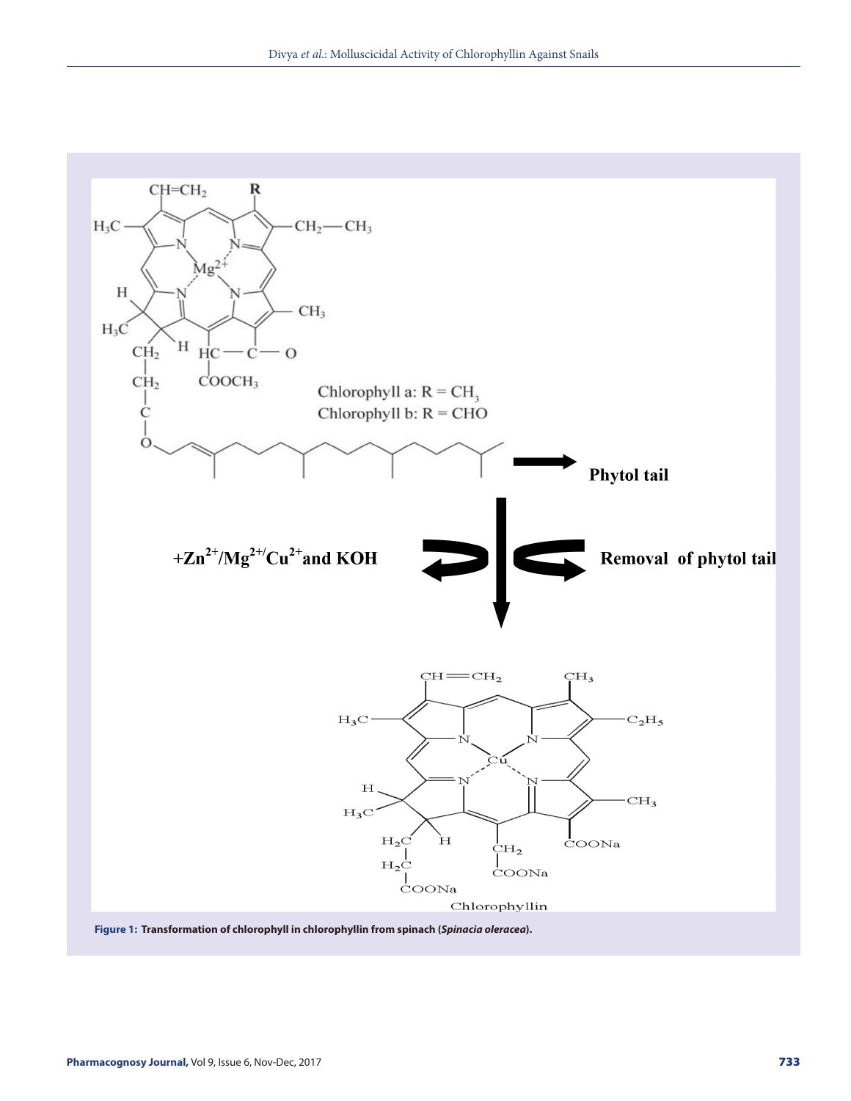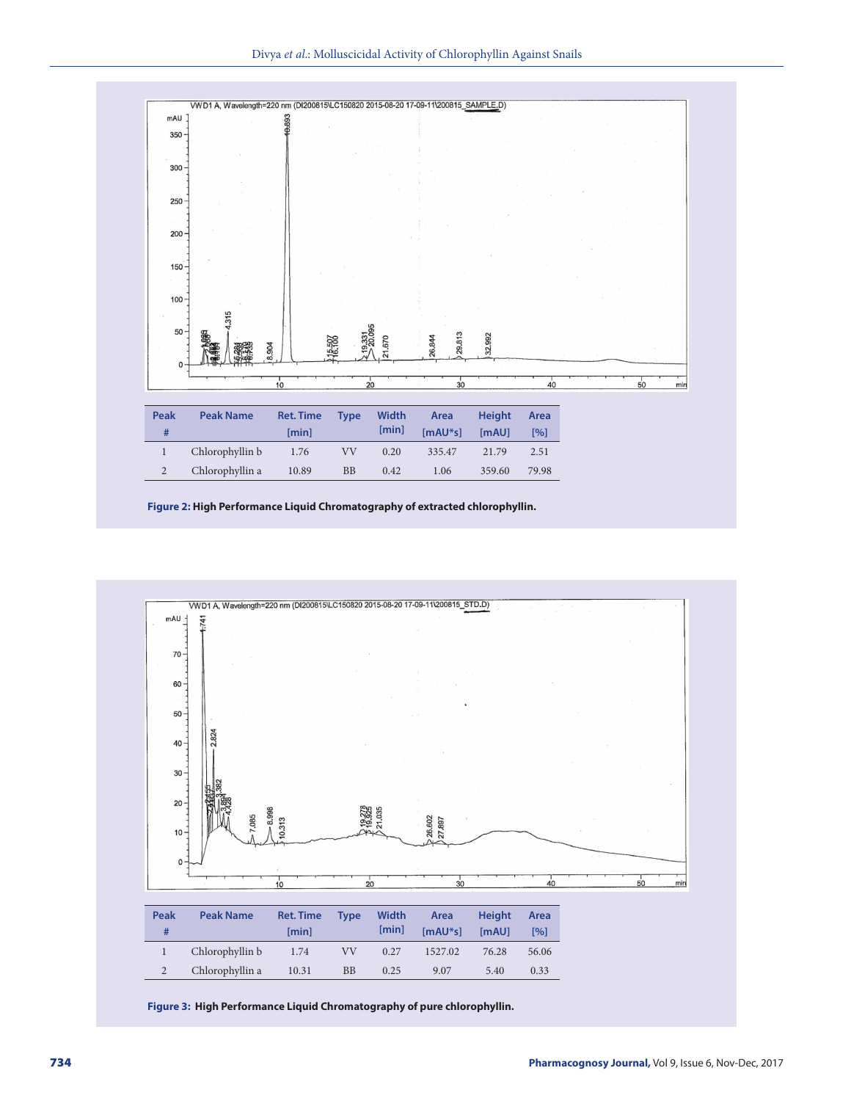Divya *et al*.: Molluscicidal Activity of Chlorophyllin Against Snails



**Figure 2: High Performance Liquid Chromatography of extracted chlorophyllin.**



**Figure 3: High Performance Liquid Chromatography of pure chlorophyllin.**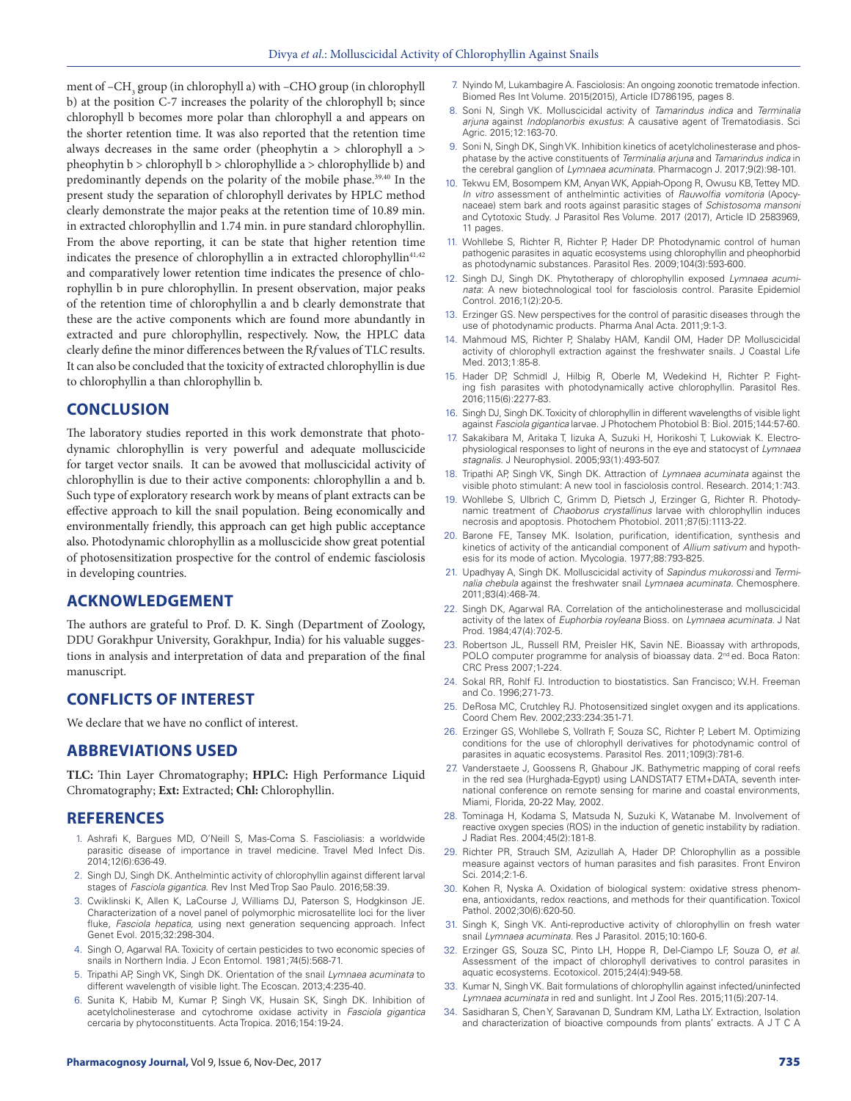ment of –CH<sub>3</sub> group (in chlorophyll a) with –CHO group (in chlorophyll b) at the position C-7 increases the polarity of the chlorophyll b; since chlorophyll b becomes more polar than chlorophyll a and appears on the shorter retention time. It was also reported that the retention time always decreases in the same order (pheophytin a > chlorophyll a > pheophytin b > chlorophyll b > chlorophyllide a > chlorophyllide b) and predominantly depends on the polarity of the mobile phase.<sup>39,40</sup> In the present study the separation of chlorophyll derivates by HPLC method clearly demonstrate the major peaks at the retention time of 10.89 min. in extracted chlorophyllin and 1.74 min. in pure standard chlorophyllin. From the above reporting, it can be state that higher retention time indicates the presence of chlorophyllin a in extracted chlorophyllin<sup>41,42</sup> and comparatively lower retention time indicates the presence of chlorophyllin b in pure chlorophyllin. In present observation, major peaks of the retention time of chlorophyllin a and b clearly demonstrate that these are the active components which are found more abundantly in extracted and pure chlorophyllin, respectively. Now, the HPLC data clearly define the minor differences between the R*f* values of TLC results. It can also be concluded that the toxicity of extracted chlorophyllin is due to chlorophyllin a than chlorophyllin b.

# **CONCLUSION**

The laboratory studies reported in this work demonstrate that photodynamic chlorophyllin is very powerful and adequate molluscicide for target vector snails. It can be avowed that molluscicidal activity of chlorophyllin is due to their active components: chlorophyllin a and b. Such type of exploratory research work by means of plant extracts can be effective approach to kill the snail population. Being economically and environmentally friendly, this approach can get high public acceptance also. Photodynamic chlorophyllin as a molluscicide show great potential of photosensitization prospective for the control of endemic fasciolosis in developing countries.

# **ACKNOWLEDGEMENT**

The authors are grateful to Prof. D. K. Singh (Department of Zoology, DDU Gorakhpur University, Gorakhpur, India) for his valuable suggestions in analysis and interpretation of data and preparation of the final manuscript.

# **CONFLICTS OF INTEREST**

We declare that we have no conflict of interest.

### **ABBREVIATIONS USED**

**TLC:** Thin Layer Chromatography; **HPLC:** High Performance Liquid Chromatography; **Ext:** Extracted; **Chl:** Chlorophyllin.

### **REFERENCES**

- 1. Ashrafi K, Bargues MD, O'Neill S, Mas-Coma S. Fascioliasis: a worldwide parasitic disease of importance in travel medicine. Travel Med Infect Dis. 2014;12(6):636-49.
- 2. Singh DJ, Singh DK. Anthelmintic activity of chlorophyllin against different larval stages of *Fasciola gigantica*. Rev Inst Med Trop Sao Paulo. 2016;58:39.
- 3. Cwiklinski K, Allen K, LaCourse J, Williams DJ, Paterson S, Hodgkinson JE. Characterization of a novel panel of polymorphic microsatellite loci for the liver fluke, *Fasciola hepatica,* using next generation sequencing approach. Infect Genet Evol. 2015;32:298-304.
- 4. Singh O, Agarwal RA. Toxicity of certain pesticides to two economic species of snails in Northern India*.* J Econ Entomol. 1981;74(5):568-71.
- 5. Tripathi AP, Singh VK, Singh DK. Orientation of the snail *Lymnaea acuminata* to different wavelength of visible light. The Ecoscan. 2013;4:235-40.
- 6. Sunita K, Habib M, Kumar P, Singh VK, Husain SK, Singh DK. Inhibition of acetylcholinesterase and cytochrome oxidase activity in *Fasciola gigantica* cercaria by phytoconstituents. Acta Tropica. 2016;154:19-24.
- 7. Nyindo M, Lukambagire A. Fasciolosis: An ongoing zoonotic trematode infection. Biomed Res Int Volume. 2015(2015), Article ID786195, pages 8.
- 8. Soni N, Singh VK. Molluscicidal activity of *Tamarindus indica* and *Terminalia arjuna* against *Indoplanorbis exustus*: A causative agent of Trematodiasis. Sci Agric. 2015;12:163-70.
- 9. Soni N, Singh DK, Singh VK. Inhibition kinetics of acetylcholinesterase and phosphatase by the active constituents of *Terminalia arjuna* and *Tamarindus indica* in the cerebral ganglion of *Lymnaea acuminata*. Pharmacogn J. 2017;9(2):98-101.
- 10. Tekwu EM, Bosompem KM, Anyan WK, Appiah-Opong R, Owusu KB, Tettey MD. *In vitro* assessment of anthelmintic activities of *Rauwolfia vomitoria* (Apocynaceae) stem bark and roots against parasitic stages of *Schistosoma mansoni* and Cytotoxic Study. J Parasitol Res Volume. 2017 (2017), Article ID 2583969, 11 pages.
- 11. Wohllebe S, Richter R, Richter P, Hader DP. Photodynamic control of human pathogenic parasites in aquatic ecosystems using chlorophyllin and pheophorbid as photodynamic substances. Parasitol Res. 2009;104(3):593-600.
- 12. Singh DJ, Singh DK. Phytotherapy of chlorophyllin exposed *Lymnaea acuminata*: A new biotechnological tool for fasciolosis control. Parasite Epidemiol Control. 2016;1(2):20-5.
- 13. Erzinger GS. New perspectives for the control of parasitic diseases through the use of photodynamic products. Pharma Anal Acta. 2011;9:1-3.
- 14. Mahmoud MS, Richter P, Shalaby HAM, Kandil OM, Hader DP. Molluscicidal activity of chlorophyll extraction against the freshwater snails. J Coastal Life Med. 2013;1:85-8.
- 15. Hader DP, Schmidl J, Hilbig R, Oberle M, Wedekind H, Richter P. Fighting fish parasites with photodynamically active chlorophyllin. Parasitol Res. 2016;115(6):2277-83.
- 16. Singh DJ, Singh DK. Toxicity of chlorophyllin in different wavelengths of visible light against *Fasciola gigantica* larvae. J Photochem Photobiol B: Biol. 2015;144:57-60.
- 17. Sakakibara M, Aritaka T, Iizuka A, Suzuki H, Horikoshi T, Lukowiak K. Electrophysiological responses to light of neurons in the eye and statocyst of *Lymnaea stagnalis*. J Neurophysiol. 2005;93(1):493-507.
- 18. Tripathi AP, Singh VK, Singh DK. Attraction of *Lymnaea acuminata* against the visible photo stimulant: A new tool in fasciolosis control. Research. 2014;1:743.
- 19. Wohllebe S, Ulbrich C, Grimm D, Pietsch J, Erzinger G, Richter R. Photodynamic treatment of *Chaoborus crystallinus* larvae with chlorophyllin induces necrosis and apoptosis. Photochem Photobiol. 2011;87(5):1113-22.
- 20. Barone FE, Tansey MK. Isolation, purification, identification, synthesis and kinetics of activity of the anticandial component of *Allium sativum* and hypothesis for its mode of action. Mycologia. 1977;88:793-825.
- 21. Upadhyay A, Singh DK. Molluscicidal activity of *Sapindus mukorossi* and *Terminalia chebula* against the freshwater snail *Lymnaea acuminata*. Chemosphere. 2011;83(4):468-74.
- 22. Singh DK, Agarwal RA. Correlation of the anticholinesterase and molluscicidal activity of the latex of *Euphorbia royleana* Bioss. on *Lymnaea acuminata.* J Nat Prod. 1984;47(4):702-5.
- 23. Robertson JL, Russell RM, Preisler HK, Savin NE. Bioassay with arthropods, POLO computer programme for analysis of bioassay data. 2<sup>nd</sup> ed. Boca Raton: CRC Press 2007;1-224.
- 24. Sokal RR, Rohlf FJ. Introduction to biostatistics. San Francisco; W.H. Freeman and Co. 1996;271-73.
- 25. DeRosa MC, Crutchley RJ. Photosensitized singlet oxygen and its applications. Coord Chem Rev. 2002;233:234:351-71.
- 26. Erzinger GS, Wohllebe S, Vollrath F, Souza SC, Richter P, Lebert M. Optimizing conditions for the use of chlorophyll derivatives for photodynamic control of parasites in aquatic ecosystems*.* Parasitol Res. 2011;109(3):781-6.
- 27. Vanderstaete J, Goossens R, Ghabour JK. Bathymetric mapping of coral reefs in the red sea (Hurghada-Egypt) using LANDSTAT7 ETM+DATA, seventh international conference on remote sensing for marine and coastal environments, Miami, Florida, 20-22 May, 2002.
- 28. Tominaga H, Kodama S, Matsuda N, Suzuki K, Watanabe M. Involvement of reactive oxygen species (ROS) in the induction of genetic instability by radiation. J Radiat Res. 2004;45(2):181-8.
- 29. Richter PR, Strauch SM, Azizullah A, Hader DP. Chlorophyllin as a possible measure against vectors of human parasites and fish parasites. Front Environ Sci. 2014;2:1-6.
- 30. Kohen R, Nyska A. Oxidation of biological system: oxidative stress phenomena, antioxidants, redox reactions, and methods for their quantification. Toxicol Pathol. 2002;30(6):620-50.
- 31. Singh K, Singh VK. Anti-reproductive activity of chlorophyllin on fresh water snail *Lymnaea acuminata.* Res J Parasitol. 2015;10:160-6.
- 32. Erzinger GS, Souza SC, Pinto LH, Hoppe R, Del-Ciampo LF, Souza O, *et al*. Assessment of the impact of chlorophyll derivatives to control parasites in aquatic ecosystems. Ecotoxicol. 2015;24(4):949-58.
- 33. Kumar N, Singh VK. Bait formulations of chlorophyllin against infected/uninfected *Lymnaea acuminata* in red and sunlight. Int J Zool Res. 2015;11(5):207-14.
- 34. Sasidharan S, Chen Y, Saravanan D, Sundram KM, Latha LY. Extraction, Isolation and characterization of bioactive compounds from plants' extracts. A J T C A